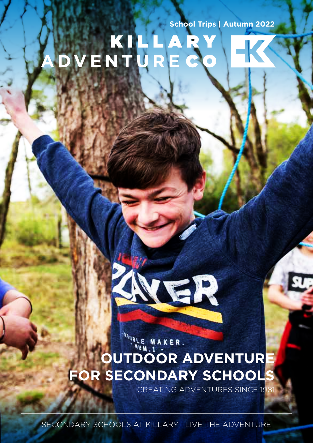# School Trips | Autumn 2022<br>
V E N T U R E C O



# **WALE MAKER. OUTDOOR ADVENTUR FOR SECONDARY SCHOOL**

CREATING ADVENTURES SINCE 19

SECONDARY SCHOOLS AT KILLARY | LIVE THE ADVENTURE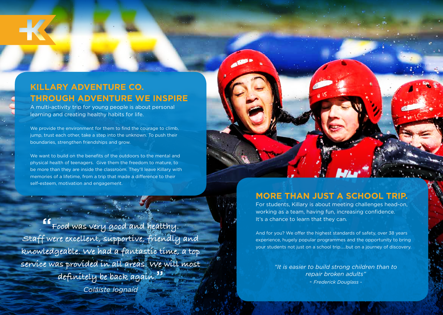# **KILLARY ADVENTURE CO. THROUGH ADVENTURE WE INSPIRE**

A multi-activity trip for young people is about personal learning and creating healthy habits for life.

We provide the environment for them to find the courage to climb, jump, trust each other, take a step into the unknown. To push their boundaries, strengthen friendships and grow.

We want to build on the benefits of the outdoors to the mental and physical health of teenagers. Give them the freedom to mature, to be more than they are inside the classroom. They'll leave Killary with memories of a lifetime, from a trip that made a difference to their self-esteem, motivation and engagement.

"**Food was very good and healthy. Staff were excellent, supportive, friendly and knowledgeable. We had a fantastic time, a top service was provided in all areas. We will most definitely be back again.**" *Coláiste Iognaíd*

# **MORE THAN JUST A SCHOOL TRIP.**

For students, Killary is about meeting challenges head-on, working as a team, having fun, increasing confidence. It's a chance to learn that they can.

And for you? We offer the highest standards of safety, over 38 years experience, hugely popular programmes and the opportunity to bring your students not just on a school trip..…but on a journey of discovery.

> *"It is easier to build strong children than to repair broken adults"*

*- Frederick Douglass -*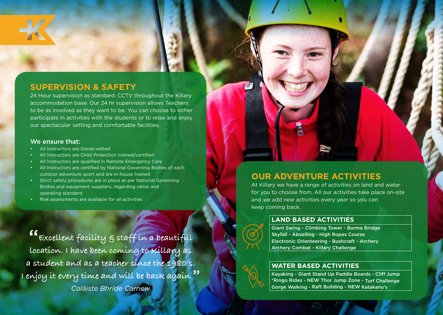# **SUPERVISION & SAFETY**

24 Hour supervision as standard. CCTV throughout the Killary accommodation base. Our 24 hr supervision allows Teachers to be as involved as they want to be. You can choose to either participate in activities with the students or to relax and enjoy our spectacular setting and comfortable facilities.

### We ensure that:

- All Instructors are Garda-vetted
- All Instructors are Child Protection trained/certified
- All Instructors are qualified in Remote Emergency Care
- All Instructors are certified by National Governing Bodies of each outdoor adventure sport and are in-house trained
- Strict safety procedures are in place as per National Governing Bodies and equipment suppliers, regarding ratios and operating standard
- Risk assessments are available for all activities

"**Excellent facility & staff in a beautiful location. I have been coming to Killary as a student and as a teacher since the 1980's. I enjoy it every time and will be back again.**" *Coláiste Bhríde Carnew*

# **OUR ADVENTURE ACTIVITIES**

At Killary we have a range of activities on land and water for you to choose from. All our activities take place on-site and we add new activities every year so you can keep coming back.

### **LAND BASED ACTIVITIES**

Giant Swing - Climbing Tower - Burma Bridge Skyfall - Abseiling - High Ropes Course Electronic Orienteering - Bushcraft - Archery Archery Combat - Killary Challenge

# **WATER BASED ACTIVITIES**



Kayaking - Giant Stand Up Paddle Boards - Cliff Jump \*Ringo Rides - NEW Thor Jump Zone - Turf Challenge Gorge Walking - Raft Building - NEW Katakanu's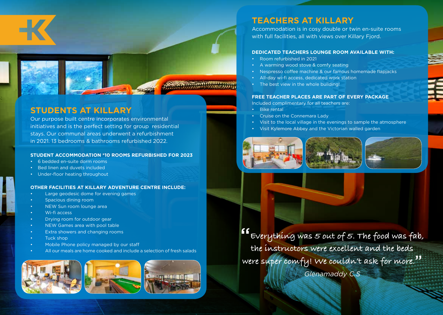

# **STUDENTS AT KILLARY**

Our purpose built centre incorporates environmental initiatives and is the perfect setting for group residential stays. Our communal areas underwent a refurbishment in 2021. 13 bedrooms & bathrooms refurbished 2022.

### **STUDENT ACCOMMODATION \*10 ROOMS REFURBISHED FOR 2023**

- 6 bedded en-suite dorm rooms
- Bed linen and duvets included
- Under-floor heating throughout

### **OTHER FACILITIES AT KILLARY ADVENTURE CENTRE INCLUDE:**

- Large geodesic dome for evening games
- Spacious dining room
- NEW Sun room lounge area
- Wi-fi access
- Drying room for outdoor gear
- NEW Games area with pool table
- Extra showers and changing rooms
- Tuck shop
- Mobile Phone policy managed by our staff
- All our meals are home cooked and include a selection of fresh salads



# **TEACHERS AT KILLARY**

Accommodation is in cosy double or twin en-suite rooms with full facilities, all with views over Killary Fiord.

### **DEDICATED TEACHERS LOUNGE ROOM AVAILABLE WITH:**

- Room refurbished in 2021
- A warming wood stove & comfy seating
- Nespresso coffee machine & our famous homemade flapjacks
- All-day wi-fi access, dedicated work station
- The best view in the whole building!

### **FREE TEACHER PLACES ARE PART OF EVERY PACKAGE**

Included complimentary for all teachers are:

- **Bike rental**
- Cruise on the Connemara Lady
- Visit to the local village in the evenings to sample the atmosphere
- Visit Kylemore Abbey and the Victorian walled garden







**E**verything was 5 out of 5. The food was fab, **the instructors were excellent and the beds were super comfy! We couldn't ask for more.**" *Glenamaddy C.S*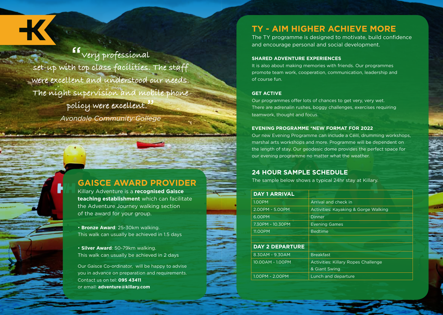"**Very professional set-up with top class facilities. The staff were excellent and understood our needs. The night supervision and mobile phone policy were excellent.**" *Avondale Community College*

# **GAISCE AWARD PROVIDER**

Killary Adventure is a **recognised Gaisce teaching establishment** which can facilitate the Adventure Journey walking section of the award for your group.

• **Bronze Award**: 25-30km walking. This walk can usually be achieved in 1.5 days

• **Silver Award**: 50-79km walking. This walk can usually be achieved in 2 days

Our Gaisce Co-ordinator, will be happy to advise you in advance on preparation and requirements. Contact us on tel: **095 43411** or email: **adventure@killary.com**

# **TY - AIM HIGHER ACHIEVE MORE**

The TY programme is designed to motivate, build confidence and encourage personal and social development.

### **SHARED ADVENTURE EXPERIENCES**

It is also about making memories with friends. Our programmes promote team work, cooperation, communication, leadership and of course fun.

### **GET ACTIVE**

Our programmes offer lots of chances to get very, very wet. There are adrenalin rushes, boggy challenges, exercises requiring teamwork, thought and focus.

### **EVENING PROGRAMME \*NEW FORMAT FOR 2022**

Our new Evening Programme can include a Céilí, drumming workshops, marshal arts workshops and more. Programme will be dependent on the length of stay. Our geodesic dome provides the perfect space for our evening programme no matter what the weather.

## **24 HOUR SAMPLE SCHEDULE**

The sample below shows a typical 24hr stay at Killary.

| <b>DAY 1 ARRIVAL</b>   |                                            |
|------------------------|--------------------------------------------|
| <b>1.00PM</b>          | Arrival and check in                       |
| 2.00PM - 5.00PM        | Activities: Kayaking & Gorge Walking       |
| 6.00PM                 | Dinner                                     |
| 7.30PM - 10.30PM       | <b>Evening Games</b>                       |
| 11.00PM                | <b>Bedtime</b>                             |
|                        |                                            |
| <b>DAY 2 DEPARTURE</b> |                                            |
| 8.30AM - 9.30AM        | <b>Breakfast</b>                           |
| 10.00AM - 1.00PM       | <b>Activities: Killary Ropes Challenge</b> |
|                        | & Giant Swing                              |
| 1.00PM - 2.00PM        | Lunch and departure                        |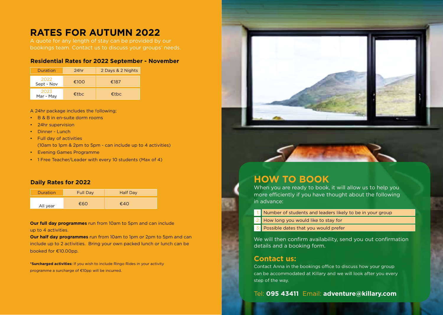# **RATES FOR AUTUMN 2022**

A quote for any length of stay can be provided by our bookings team. Contact us to discuss your groups' needs.

### **Residential Rates for 2022 September - November**

| Duration           | 24hr | 2 Days & 2 Nights |
|--------------------|------|-------------------|
| 2022<br>Sept - Nov | €100 | €187              |
| 2023<br>Mar - May  | €tbc | €tbc              |

A 24hr package includes the following;

- B & B in en-suite dorm rooms
- 24hr supervision
- Dinner Lunch
- Full day of activities (10am to 1pm & 2pm to 5pm - can include up to 4 activities)
- Evening Games Programme
- 1 Free Teacher/Leader with every 10 students (Max of 4)

### **Daily Rates for 2022**

| <b>Duration</b> | <b>Full Day</b> | <b>Half Day</b> |
|-----------------|-----------------|-----------------|
| All year        | €60             | €40             |

**Our full day programmes** run from 10am to 5pm and can include up to 4 activities.

**Our half day programmes** run from 10am to 1pm or 2pm to 5pm and can include up to 2 activities. Bring your own packed lunch or lunch can be booked for €10.00pp.

**\*Surcharged activities:** If you wish to include Ringo Rides in your activity programme a surcharge of €10pp will be incurred.





# **HOW TO BOOK**

When you are ready to book, it will allow us to help you more efficiently if you have thought about the following in advance:

- Number of students and leaders likely to be in your group 1:
- How long you would like to stay for 2:
- Possible dates that you would prefer 3:

We will then confirm availability, send you out confirmation details and a booking form.

# **Contact us:**

Contact Anna in the bookings office to discuss how your group can be accommodated at Killary and we will look after you every step of the way.

Tel: **095 43411** Email: **adventure@killary.com**